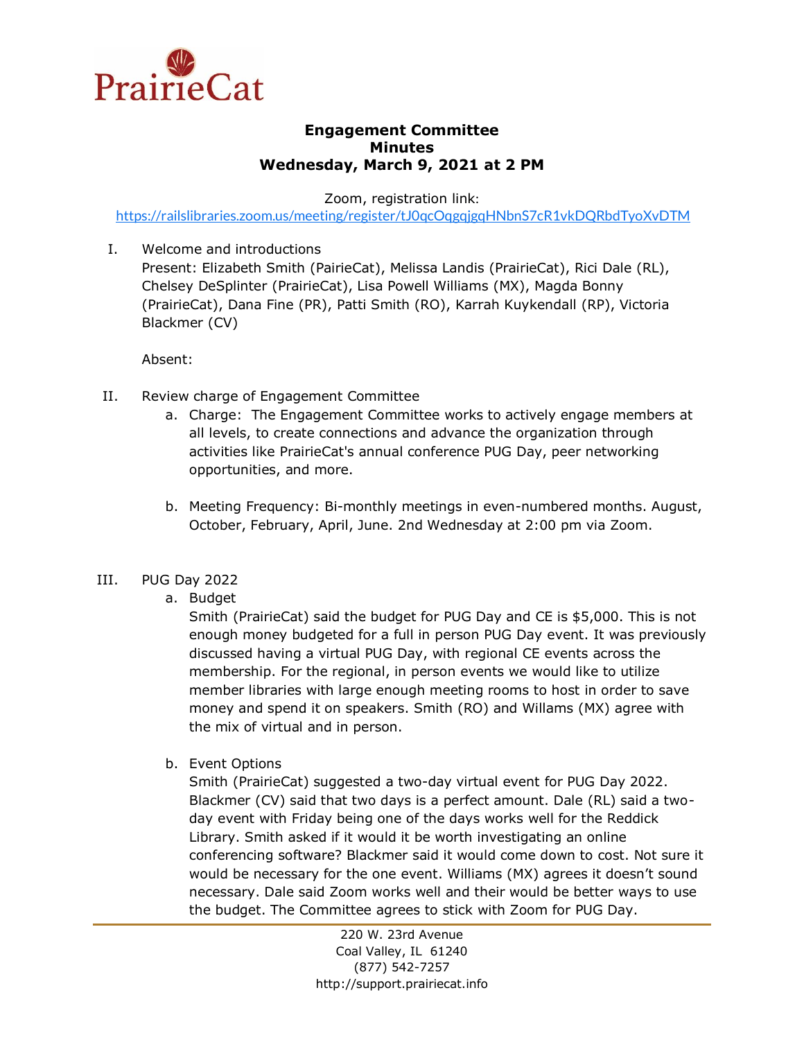

## **Engagement Committee Minutes Wednesday, March 9, 2021 at 2 PM**

Zoom, registration link:

<https://railslibraries.zoom.us/meeting/register/tJ0qcOqgqjgqHNbnS7cR1vkDQRbdTyoXvDTM>

I. Welcome and introductions Present: Elizabeth Smith (PairieCat), Melissa Landis (PrairieCat), Rici Dale (RL), Chelsey DeSplinter (PrairieCat), Lisa Powell Williams (MX), Magda Bonny (PrairieCat), Dana Fine (PR), Patti Smith (RO), Karrah Kuykendall (RP), Victoria Blackmer (CV)

Absent:

- II. Review charge of Engagement Committee
	- a. Charge: The Engagement Committee works to actively engage members at all levels, to create connections and advance the organization through activities like PrairieCat's annual conference PUG Day, peer networking opportunities, and more.
	- b. Meeting Frequency: Bi-monthly meetings in even-numbered months. August, October, February, April, June. 2nd Wednesday at 2:00 pm via Zoom.
- III. PUG Day 2022
	- a. Budget

Smith (PrairieCat) said the budget for PUG Day and CE is \$5,000. This is not enough money budgeted for a full in person PUG Day event. It was previously discussed having a virtual PUG Day, with regional CE events across the membership. For the regional, in person events we would like to utilize member libraries with large enough meeting rooms to host in order to save money and spend it on speakers. Smith (RO) and Willams (MX) agree with the mix of virtual and in person.

b. Event Options

Smith (PrairieCat) suggested a two-day virtual event for PUG Day 2022. Blackmer (CV) said that two days is a perfect amount. Dale (RL) said a twoday event with Friday being one of the days works well for the Reddick Library. Smith asked if it would it be worth investigating an online conferencing software? Blackmer said it would come down to cost. Not sure it would be necessary for the one event. Williams (MX) agrees it doesn't sound necessary. Dale said Zoom works well and their would be better ways to use the budget. The Committee agrees to stick with Zoom for PUG Day.

> 220 W. 23rd Avenue Coal Valley, IL 61240 (877) 542-7257 http://support.prairiecat.info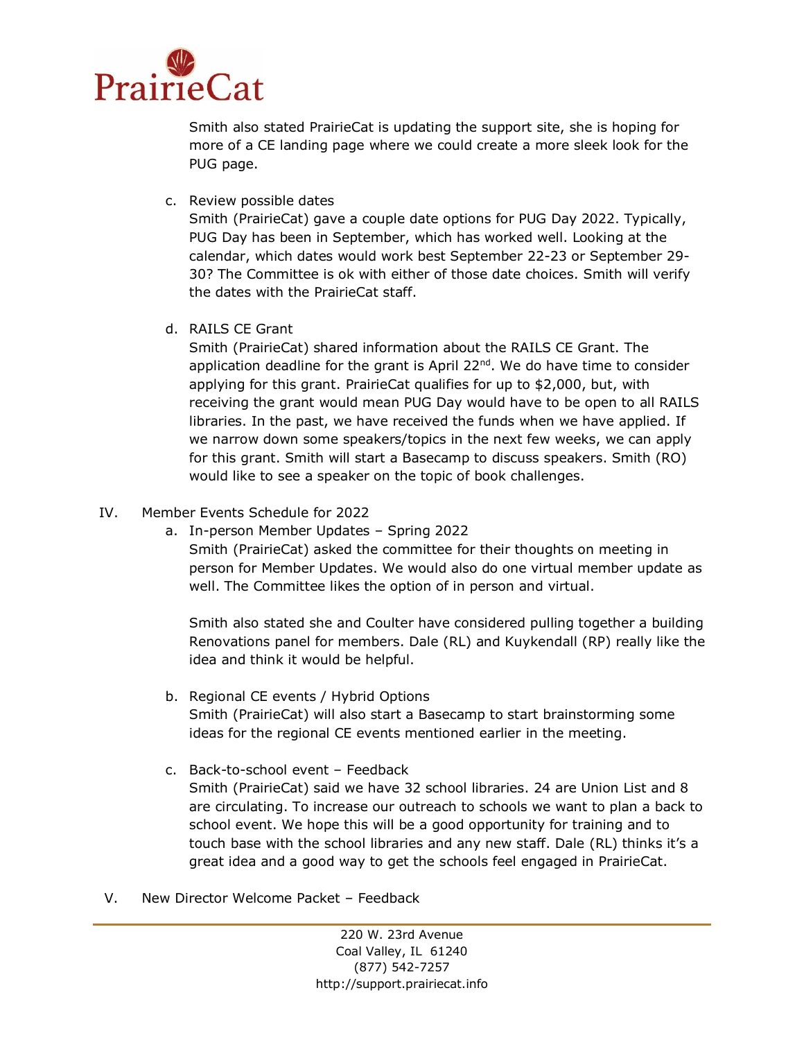

Smith also stated PrairieCat is updating the support site, she is hoping for more of a CE landing page where we could create a more sleek look for the PUG page.

c. Review possible dates

Smith (PrairieCat) gave a couple date options for PUG Day 2022. Typically, PUG Day has been in September, which has worked well. Looking at the calendar, which dates would work best September 22-23 or September 29- 30? The Committee is ok with either of those date choices. Smith will verify the dates with the PrairieCat staff.

d. RAILS CE Grant

Smith (PrairieCat) shared information about the RAILS CE Grant. The application deadline for the grant is April  $22^{nd}$ . We do have time to consider applying for this grant. PrairieCat qualifies for up to \$2,000, but, with receiving the grant would mean PUG Day would have to be open to all RAILS libraries. In the past, we have received the funds when we have applied. If we narrow down some speakers/topics in the next few weeks, we can apply for this grant. Smith will start a Basecamp to discuss speakers. Smith (RO) would like to see a speaker on the topic of book challenges.

- IV. Member Events Schedule for 2022
	- a. In-person Member Updates Spring 2022

Smith (PrairieCat) asked the committee for their thoughts on meeting in person for Member Updates. We would also do one virtual member update as well. The Committee likes the option of in person and virtual.

Smith also stated she and Coulter have considered pulling together a building Renovations panel for members. Dale (RL) and Kuykendall (RP) really like the idea and think it would be helpful.

- b. Regional CE events / Hybrid Options Smith (PrairieCat) will also start a Basecamp to start brainstorming some ideas for the regional CE events mentioned earlier in the meeting.
- c. Back-to-school event Feedback Smith (PrairieCat) said we have 32 school libraries. 24 are Union List and 8 are circulating. To increase our outreach to schools we want to plan a back to school event. We hope this will be a good opportunity for training and to touch base with the school libraries and any new staff. Dale (RL) thinks it's a great idea and a good way to get the schools feel engaged in PrairieCat.
- V. New Director Welcome Packet Feedback